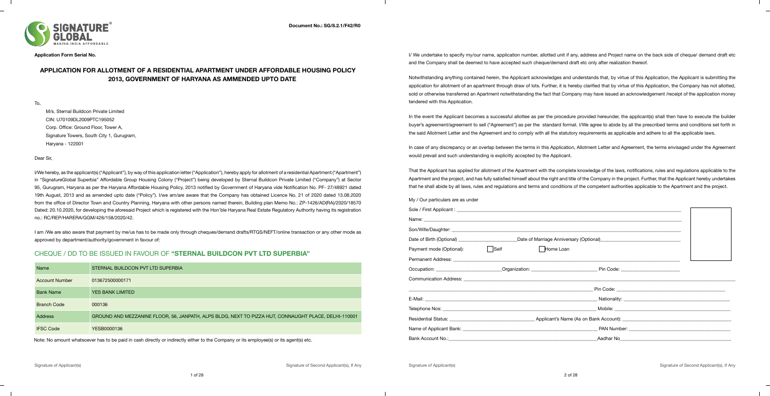**Application Form Serial No.**

### **APPLICATION FOR ALLOTMENT OF A RESIDENTIAL APARTMENT UNDER AFFORDABLE HOUSING POLICY 2013, GOVERNMENT OF HARYANA AS AMMENDED UPTO DATE**

To,

M/s. Sternal Buildcon Private Limited CIN: U70109DL2009PTC195052 Corp. Office: Ground Floor, Tower A, Signature Towers, South City 1, Gurugram, Haryana - 122001

Dear Sir,

I/We hereby, as the applicant(s) ("Applicant"), by way of this application letter ("Application"), hereby apply for allotment of a residential Apartment ("Apartment") in "SignatureGlobal Superbia" Affordable Group Housing Colony ("Project") being developed by Sternal Buildcon Private Limited ("Company") at Sector 95, Gurugram, Haryana as per the Haryana Affordable Housing Policy, 2013 notified by Government of Haryana vide Notification No. PF- 27/48921 dated 19th August, 2013 and as amended upto date ("Policy"). I/we am/are aware that the Company has obtained Licence No. 21 of 2020 dated 13.08.2020 from the office of Director Town and Country Planning, Haryana with other persons named therein, Building plan Memo No.: ZP-1426/AD(RA)/2020/18570 Dated: 20.10.2020, for developing the aforesaid Project which is registered with the Hon'ble Haryana Real Estate Regulatory Authority having its registration no.: RC/REP/HARERA/GGM/426/158/2020/42.

I am /We are also aware that payment by me/us has to be made only through cheques/demand drafts/RTGS/NEFT/online transaction or any other mode as approved by department/authority/government in favour of:

In the event the Applicant becomes a successful allottee as per the procedure provided hereunder, the applicant(s) shall then have to execute the builder buyer's agreement/agreement to sell ("Agreement") as per the standard format. I/We agree to abide by all the prescribed terms and conditions set forth in the said Allotment Letter and the Agreement and to comply with all the statutory requirements as applicable and adhere to all the applicable laws.

## CHEQUE / DD TO BE ISSUED IN FAVOUR OF **"STERNAL BUILDCON PVT LTD SUPERBIA"**



I/ We undertake to specify my/our name, application number, allotted unit if any, address and Project name on the back side of cheque/ demand draft etc and the Company shall be deemed to have accepted such cheque/demand draft etc only after realization thereof.

Notwithstanding anything contained herein, the Applicant acknowledges and understands that, by virtue of this Application, the Applicant is submitting the application for allotment of an apartment through draw of lots. Further, it is hereby clarified that by virtue of this Application, the Company has not allotted, sold or otherwise transferred an Apartment notwithstanding the fact that Company may have issued an acknowledgement /receipt of the application money tendered with this Application.

In case of any discrepancy or an overlap between the terms in this Application, Allotment Letter and Agreement, the terms envisaged under the Agreement would prevail and such understanding is explicitly accepted by the Applicant.

That the Applicant has applied for allotment of the Apartment with the complete knowledge of the laws, notifications, rules and regulations applicable to the Apartment and the project, and has fully satisfied himself about the right and title of the Company in the project. Further, that the Applicant hereby undertakes that he shall abide by all laws, rules and regulations and terms and conditions of the competent authorities applicable to the Apartment and the project.

My / Our particulars are as under

| Payment mode (Optional):                                                                                              | $\vert$ Self | Home Loan |  |  |
|-----------------------------------------------------------------------------------------------------------------------|--------------|-----------|--|--|
|                                                                                                                       |              |           |  |  |
|                                                                                                                       |              |           |  |  |
|                                                                                                                       |              |           |  |  |
| <u> 1989 - Andrea Stadt Britannia, amerikan bahasa dalam personal dan berasal dan berasal dan berasal dalam perso</u> |              |           |  |  |
|                                                                                                                       |              |           |  |  |
|                                                                                                                       |              |           |  |  |
|                                                                                                                       |              |           |  |  |
|                                                                                                                       |              |           |  |  |
|                                                                                                                       |              |           |  |  |

| Name                  | STERNAL BUILDCON PVT LTD SUPERBIA                                                                    |
|-----------------------|------------------------------------------------------------------------------------------------------|
| <b>Account Number</b> | 013672500000171                                                                                      |
| <b>Bank Name</b>      | <b>YES BANK LIMITED</b>                                                                              |
| <b>Branch Code</b>    | 000136                                                                                               |
| Address               | GROUND AND MEZZANINE FLOOR, 56, JANPATH, ALPS BLDG, NEXT TO PIZZA HUT, CONNAUGHT PLACE, DELHI-110001 |
| <b>IFSC Code</b>      | YESB0000136                                                                                          |

Note: No amount whatsoever has to be paid in cash directly or indirectly either to the Company or its employee(s) or its agent(s) etc.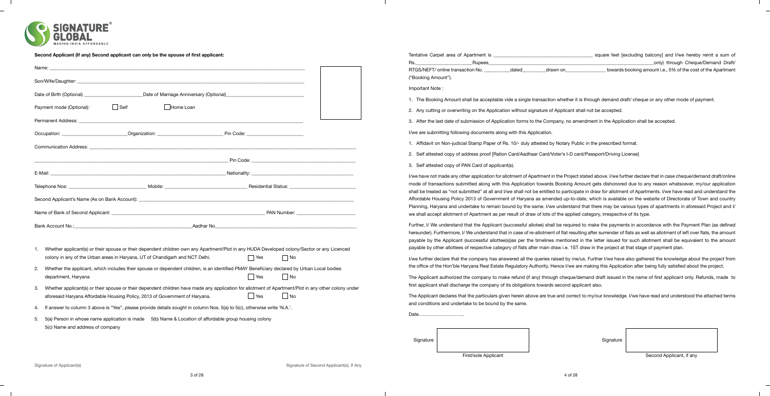

 $\sim$  1.

 $\overline{\phantom{0}}$ 

| Rs.<br>Name:<br>("Booking Amount")<br>Son/Wife/Daughter:<br>Important Note:<br>_Date of Marriage Anniversary (Optional)_<br>Date of Birth (Optional)    | _only) through Cheque/Demand Draft/<br><b>Rupees</b><br>RTGS/NEFT/ online transaction No.<br>towards booking amount i.e., 5% of the cost of the Apartment<br>drawn on<br>dated<br>1. The Booking Amount shall be acceptable vide a single transaction whether it is through demand draft/ cheque or any other mode of payment. |
|---------------------------------------------------------------------------------------------------------------------------------------------------------|--------------------------------------------------------------------------------------------------------------------------------------------------------------------------------------------------------------------------------------------------------------------------------------------------------------------------------|
|                                                                                                                                                         |                                                                                                                                                                                                                                                                                                                                |
|                                                                                                                                                         |                                                                                                                                                                                                                                                                                                                                |
|                                                                                                                                                         |                                                                                                                                                                                                                                                                                                                                |
|                                                                                                                                                         |                                                                                                                                                                                                                                                                                                                                |
|                                                                                                                                                         |                                                                                                                                                                                                                                                                                                                                |
| $\vert$ Self<br>Home Loan<br>Payment mode (Optional):                                                                                                   | 2. Any cutting or overwriting on the Application without signature of Applicant shall not be accepted.                                                                                                                                                                                                                         |
| <b>Permanent Address:</b>                                                                                                                               | 3. After the last date of submission of Application forms to the Company, no amendment in the Application shall be accepted.                                                                                                                                                                                                   |
| Pin Code:<br>Organization:<br>Occupation:                                                                                                               | I/we are submitting following documents along with this Application.                                                                                                                                                                                                                                                           |
| <b>Communication Address:</b>                                                                                                                           | Affidavit on Non-judicial Stamp Paper of Rs. 10/- duly attested by Notary Public in the prescribed format.                                                                                                                                                                                                                     |
|                                                                                                                                                         | 2. Self attested copy of address proof [Ration Card/Aadhaar Card/Voter's I-D card/Passport/Driving License]                                                                                                                                                                                                                    |
| Pin Code:                                                                                                                                               | 3. Self attested copy of PAN Card of applicant(s).                                                                                                                                                                                                                                                                             |
| E-Mail:<br><u> 1980 - Jan Barat, Amerikaansk politiker (</u><br>Nationality:                                                                            | I/we have not made any other application for allotment of Apartment in the Project stated above. I/we further declare that in case cheque/demand draft/online                                                                                                                                                                  |
| Mobile:<br><b>Residential Status:</b><br>Telephone Nos:                                                                                                 | mode of transactions submitted along with this Application towards Booking Amount gets dishonored due to any reason whatsoever, my/our application                                                                                                                                                                             |
|                                                                                                                                                         | shall be treated as "not submitted" at all and I/we shall not be entitled to participate in draw for allotment of Apartments. I/we have read and understand the                                                                                                                                                                |
| Second Applicant's Name (As on Bank Account):                                                                                                           | Affordable Housing Policy 2013 of Government of Haryana as amended up-to-date, which is available on the website of Directorate of Town and country                                                                                                                                                                            |
| PAN Number: ________________________<br>Name of Bank of Second Applicant:                                                                               | Planning, Haryana and undertake to remain bound by the same. I/we understand that there may be various types of apartments in aforesaid Project and I/                                                                                                                                                                         |
|                                                                                                                                                         | we shall accept allotment of Apartment as per result of draw of lots of the applied category, irrespective of its type.                                                                                                                                                                                                        |
| Aadhar No<br>Bank Account No.:                                                                                                                          | Further, I/ We understand that the Applicant (successful allotee) shall be required to make the payments in accordance with the Payment Plan (as defined                                                                                                                                                                       |
|                                                                                                                                                         | hereunder). Furthermore, I/We understand that in case of re-allotment of flat resulting after surrender of flats as well as allotment of left over flats, the amount                                                                                                                                                           |
|                                                                                                                                                         | payable by the Applicant (successful allottee(s))as per the timelines mentioned in the letter issued for such allotment shall be equivalent to the amount                                                                                                                                                                      |
| Whether applicant(s) or their spouse or their dependent children own any Apartment/Plot in any HUDA Developed colony/Sector or any Licenced             | payable by other allottees of respective category of flats after main draw i.e. 1ST draw in the project at that stage of payment plan.                                                                                                                                                                                         |
| colony in any of the Urban areas in Haryana, UT of Chandigarh and NCT Delhi.<br>$ $ No<br>  Yes                                                         | I/we further declare that the company has answered all the queries raised by me/us. Further I/we have also gathered the knowledge about the project from                                                                                                                                                                       |
| Whether the applicant, which includes their spouse or dependent children, is an identified PMAY Beneficiary declared by Urban Local bodies              | the office of the Hon'ble Haryana Real Estate Regulatory Authority. Hence I/we are making this Application after being fully satisfied about the project.                                                                                                                                                                      |
| │ Yes<br>  No<br>department, Haryana                                                                                                                    | The Applicant authorized the company to make refund (if any) through cheque/demand draft issued in the name of first applicant only. Refunds, made to                                                                                                                                                                          |
| 3. Whether applicant(s) or their spouse or their dependent children have made any application for allotment of Apartment/Plot in any other colony under | first applicant shall discharge the company of its obligations towards second applicant also.                                                                                                                                                                                                                                  |
| $\Box$ No<br><b>Yes</b><br>aforesaid Haryana Affordable Housing Policy, 2013 of Government of Haryana.                                                  | The Applicant declares that the particulars given herein above are true and correct to my/our knowledge. I/we have read and understood the attached terms                                                                                                                                                                      |
| 4. If answer to column 3 above is "Yes", please provide details sought in column Nos. 5(a) to 5(c), otherwise write 'N.A.'.                             | and conditions and undertake to be bound by the same.                                                                                                                                                                                                                                                                          |
| 5. 5(a) Person in whose name application is made 5(b) Name & Location of affordable group housing colony                                                | Date                                                                                                                                                                                                                                                                                                                           |
| 5(c) Name and address of company                                                                                                                        |                                                                                                                                                                                                                                                                                                                                |
|                                                                                                                                                         |                                                                                                                                                                                                                                                                                                                                |

 $\mathbb{R}^n$ 

 $\mathbb{R}^n$ 

 $\overline{\phantom{0}}$ 

 $\sim 10$ 

Signature **Signature**  $\begin{pmatrix} 1 & 1 & 1 \\ 1 & 1 & 1 \\ 1 & 1 & 1 \end{pmatrix}$ 

First/sole Applicant **Second Applicant** Second Applicant, if any

 $\mathbb{R}^n$ 

 $\overline{\phantom{a}}$ 

 $\frac{1}{\sqrt{2}}$ 

 $\mathbb{R}^n$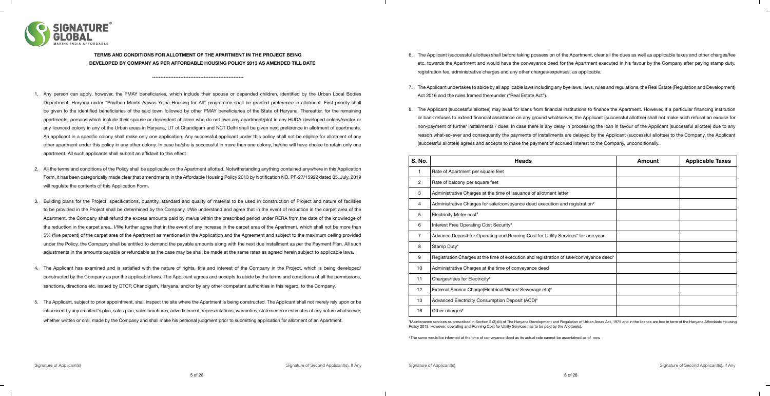

#### **TERMS AND CONDITIONS FOR ALLOTMENT OF THE APARTMENT IN THE PROJECT BEING DEVELOPED BY COMPANY AS PER AFFORDABLE HOUSING POLICY 2013 AS AMENDED TILL DATE**

\*\*\*\*\*\*\*\*\*\*\*\*\*\*\*\*\*\*\*\*\*\*\*\*\*\*\*\*\*\*\*\*\*\*\*\*\*\*\*\*\*\*\*\*\*\*\*\*\*\*\*\*\*\*\*

- 1. Any person can apply, however, the PMAY beneficiaries, which include their spouse or depended children, identified by the Urban Local Bodies Department, Haryana under "Pradhan Mantri Aawas Yojna-Housing for All" programme shall be granted preference in allotment. First priority shall be given to the identified beneficiaries of the said town followed by other PMAY beneficiaries of the State of Haryana. Thereafter, for the remaining apartments, persons which include their spouse or dependent children who do not own any apartment/plot in any HUDA developed colony/sector or any licenced colony in any of the Urban areas in Haryana, UT of Chandigarh and NCT Delhi shall be given next preference in allotment of apartments. An applicant in a specific colony shall make only one application. Any successful applicant under this policy shall not be eligible for allotment of any other apartment under this policy in any other colony. In case he/she is successful in more than one colony, he/she will have choice to retain only one apartment. All such applicants shall submit an affidavit to this effect
- 2. All the terms and conditions of the Policy shall be applicable on the Apartment allotted. Notwithstanding anything contained anywhere in this Application Form, it has been categorically made clear that amendments in the Affordable Housing Policy 2013 by Notification NO. PF-27/15922 dated 05, July, 2019 will regulate the contents of this Application Form.
- 3. Building plans for the Project, specifications, quantity, standard and quality of material to be used in construction of Project and nature of facilities to be provided in the Project shall be determined by the Company. I/We understand and agree that in the event of reduction in the carpet area of the Apartment, the Company shall refund the excess amounts paid by me/us within the prescribed period under RERA from the date of the knowledge of the reduction in the carpet area.. I/We further agree that in the event of any increase in the carpet area of the Apartment, which shall not be more than 5% (five percent) of the carpet area of the Apartment as mentioned in the Application and the Agreement and subject to the maximum ceiling provided under the Policy, the Company shall be entitled to demand the payable amounts along with the next due installment as per the Payment Plan. All such adjustments in the amounts payable or refundable as the case may be shall be made at the same rates as agreed herein subject to applicable laws.
- 4. The Applicant has examined and is satisfied with the nature of rights, title and interest of the Company in the Project, which is being developed/ constructed by the Company as per the applicable laws. The Applicant agrees and accepts to abide by the terms and conditions of all the permissions, sanctions, directions etc. issued by DTCP, Chandigarh, Haryana, and/or by any other competent authorities in this regard, to the Company.
- 5. The Applicant, subject to prior appointment, shall inspect the site where the Apartment is being constructed. The Applicant shall not merely rely upon or be influenced by any architect's plan, sales plan, sales brochures, advertisement, representations, warranties, statements or estimates of any nature whatsoever, whether written or oral, made by the Company and shall make his personal judgment prior to submitting application for allotment of an Apartment.

6. The Applicant (successful allottee) shall before taking possession of the Apartment, clear all the dues as well as applicable taxes and other charges/fee etc. towards the Apartment and would have the conveyance deed for the Apartment executed in his favour by the Company after paying stamp duty, registration fee, administrative charges and any other charges/expenses, as applicable.

7. The Applicant undertakes to abide by all applicable laws including any bye laws, laws, rules and regulations, the Real Estate (Regulation and Development) Act 2016 and the rules framed thereunder ("Real Estate Act").

8. The Applicant (successful allottee) may avail for loans from financial institutions to finance the Apartment. However, if a particular financing institution or bank refuses to extend financial assistance on any ground whatsoever, the Applicant (successful allottee) shall not make such refusal an excuse for non-payment of further installments / dues. In case there is any delay in processing the loan in favour of the Applicant (successful allottee) due to any reason what-so-ever and consequently the payments of installments are delayed by the Applicant (successful allottee) to the Company, the Applicant (successful allottee) agrees and accepts to make the payment of accrued interest to the Company, unconditionally.

| S. No.         | <b>Heads</b>                                                                            | <b>Amount</b> | <b>Applicable Taxes</b> |
|----------------|-----------------------------------------------------------------------------------------|---------------|-------------------------|
|                | Rate of Apartment per square feet                                                       |               |                         |
| $\overline{2}$ | Rate of balcony per square feet                                                         |               |                         |
| 3              | Administrative Charges at the time of issuance of allotment letter                      |               |                         |
| 4              | Administrative Charges for sale/conveyance deed execution and registration#             |               |                         |
| 5              | Electricity Meter cost <sup>#</sup>                                                     |               |                         |
| 6              | Interest Free Operating Cost Security#                                                  |               |                         |
| $\overline{7}$ | Advance Deposit for Operating and Running Cost for Utility Services* for one year       |               |                         |
| 8              | Stamp Duty*                                                                             |               |                         |
| 9              | Registration Charges at the time of execution and registration of sale/conveyance deed* |               |                         |
| 10             | Administrative Charges at the time of conveyance deed                                   |               |                         |
| 11             | Charges/fees for Electricity#                                                           |               |                         |
| 12             | External Service Charge(Electrical/Water/ Sewerage etc)#                                |               |                         |
| 13             | Advanced Electricity Consumption Deposit (ACD) <sup>#</sup>                             |               |                         |
| 16             | Other charges <sup>#</sup>                                                              |               |                         |

\*Maintenance services as prescribed in Section 3 (3) (iii) of The Haryana Development and Regulation of Urban Areas Act, 1975 and in the licence are free in term of the Haryana Affordable Housing Policy 2013. However, operating and Running Cost for Utility Services has to be paid by the Allottee(s).

# The same would be informed at the time of conveyance deed as its actual rate cannot be ascertained as of now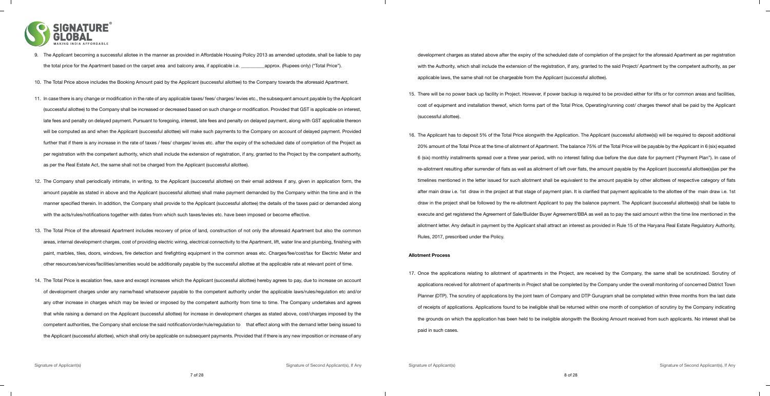

- 9. The Applicant becoming a successful allotee in the manner as provided in Affordable Housing Policy 2013 as amended uptodate, shall be liable to pay the total price for the Apartment based on the carpet area and balcony area, if applicable i.e. \_\_\_\_\_\_\_\_\_\_approx. (Rupees only) ("Total Price").
- 10. The Total Price above includes the Booking Amount paid by the Applicant (successful allottee) to the Company towards the aforesaid Apartment.
- 11. In case there is any change or modification in the rate of any applicable taxes/ fees/ charges/ levies etc., the subsequent amount payable by the Applicant (successful allottee) to the Company shall be increased or decreased based on such change or modification. Provided that GST is applicable on interest, late fees and penalty on delayed payment. Pursuant to foregoing, interest, late fees and penalty on delayed payment, along with GST applicable thereon will be computed as and when the Applicant (successful allottee) will make such payments to the Company on account of delayed payment. Provided further that if there is any increase in the rate of taxes / fees/ charges/ levies etc. after the expiry of the scheduled date of completion of the Project as per registration with the competent authority, which shall include the extension of registration, if any, granted to the Project by the competent authority, as per the Real Estate Act, the same shall not be charged from the Applicant (successful allottee).
- 12. The Company shall periodically intimate, in writing, to the Applicant (successful allottee) on their email address if any, given in application form, the amount payable as stated in above and the Applicant (successful allottee) shall make payment demanded by the Company within the time and in the manner specified therein. In addition, the Company shall provide to the Applicant (successful allottee) the details of the taxes paid or demanded along with the acts/rules/notifications together with dates from which such taxes/levies etc. have been imposed or become effective.
- 13. The Total Price of the aforesaid Apartment includes recovery of price of land, construction of not only the aforesaid Apartment but also the common areas, internal development charges, cost of providing electric wiring, electrical connectivity to the Apartment, lift, water line and plumbing, finishing with paint, marbles, tiles, doors, windows, fire detection and firefighting equipment in the common areas etc. Charges/fee/cost/tax for Electric Meter and other resources/services/facilities/amenities would be additionally payable by the successful allottee at the applicable rate at relevant point of time.
- 14. The Total Price is escalation free, save and except increases which the Applicant (successful allottee) hereby agrees to pay, due to increase on account of development charges under any name/head whatsoever payable to the competent authority under the applicable laws/rules/regulation etc and/or any other increase in charges which may be levied or imposed by the competent authority from time to time. The Company undertakes and agrees that while raising a demand on the Applicant (successful allottee) for increase in development charges as stated above, cost/charges imposed by the competent authorities, the Company shall enclose the said notification/order/rule/regulation to that effect along with the demand letter being issued to the Applicant (successful allottee), which shall only be applicable on subsequent payments. Provided that if there is any new imposition or increase of any

development charges as stated above after the expiry of the scheduled date of completion of the project for the aforesaid Apartment as per registration with the Authority, which shall include the extension of the registration, if any, granted to the said Project/ Apartment by the competent authority, as per applicable laws, the same shall not be chargeable from the Applicant (successful allottee).

15. There will be no power back up facility in Project. However, if power backup is required to be provided either for lifts or for common areas and facilities, cost of equipment and installation thereof, which forms part of the Total Price, Operating/running cost/ charges thereof shall be paid by the Applicant (successful allottee).

16. The Applicant has to deposit 5% of the Total Price alongwith the Application. The Applicant (successful allottee(s)) will be required to deposit additional 20% amount of the Total Price at the time of allotment of Apartment. The balance 75% of the Total Price will be payable by the Applicant in 6 (six) equated 6 (six) monthly installments spread over a three year period, with no interest falling due before the due date for payment ("Payment Plan"). In case of re-allotment resulting after surrender of flats as well as allotment of left over flats, the amount payable by the Applicant (successful allottee(s))as per the timelines mentioned in the letter issued for such allotment shall be equivalent to the amount payable by other allottees of respective category of flats after main draw i.e. 1st draw in the project at that stage of payment plan. It is clarified that payment applicable to the allottee of the main draw i.e. 1st draw in the project shall be followed by the re-allotment Applicant to pay the balance payment. The Applicant (successful allottee(s)) shall be liable to execute and get registered the Agreement of Sale/Builder Buyer Agreement/BBA as well as to pay the said amount within the time line mentioned in the allotment letter. Any default in payment by the Applicant shall attract an interest as provided in Rule 15 of the Haryana Real Estate Regulatory Authority, Rules, 2017, prescribed under the Policy.

#### **Allotment Process**

17. Once the applications relating to allotment of apartments in the Project, are received by the Company, the same shall be scrutinized. Scrutiny of applications received for allotment of apartments in Project shall be completed by the Company under the overall monitoring of concerned District Town Planner (DTP). The scrutiny of applications by the joint team of Company and DTP Gurugram shall be completed within three months from the last date of receipts of applications. Applications found to be ineligible shall be returned within one month of completion of scrutiny by the Company indicating the grounds on which the application has been held to be ineligible alongwith the Booking Amount received from such applicants. No interest shall be paid in such cases.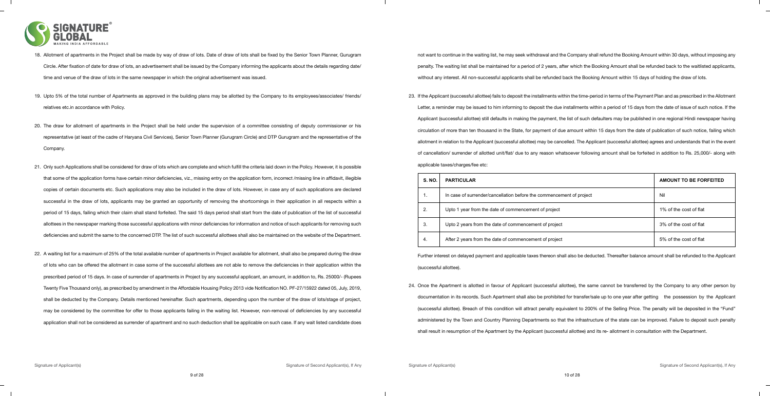

- 18. Allotment of apartments in the Project shall be made by way of draw of lots. Date of draw of lots shall be fixed by the Senior Town Planner, Gurugram Circle. After fixation of date for draw of lots, an advertisement shall be issued by the Company informing the applicants about the details regarding date/ time and venue of the draw of lots in the same newspaper in which the original advertisement was issued.
- 19. Upto 5% of the total number of Apartments as approved in the building plans may be allotted by the Company to its employees/associates/ friends/ relatives etc.in accordance with Policy.
- 20. The draw for allotment of apartments in the Project shall be held under the supervision of a committee consisting of deputy commissioner or his representative (at least of the cadre of Haryana Civil Services), Senior Town Planner (Gurugram Circle) and DTP Gurugram and the representative of the Company.
- 21. Only such Applications shall be considered for draw of lots which are complete and which fulfill the criteria laid down in the Policy. However, it is possible that some of the application forms have certain minor deficiencies, viz., missing entry on the application form, incorrect /missing line in affidavit, illegible copies of certain documents etc. Such applications may also be included in the draw of lots. However, in case any of such applications are declared successful in the draw of lots, applicants may be granted an opportunity of removing the shortcomings in their application in all respects within a period of 15 days, failing which their claim shall stand forfeited. The said 15 days period shall start from the date of publication of the list of successful allottees in the newspaper marking those successful applications with minor deficiencies for information and notice of such applicants for removing such deficiencies and submit the same to the concerned DTP. The list of such successful allottees shall also be maintained on the website of the Department.
- 22. A waiting list for a maximum of 25% of the total available number of apartments in Project available for allotment, shall also be prepared during the draw of lots who can be offered the allotment in case some of the successful allottees are not able to remove the deficiencies in their application within the prescribed period of 15 days. In case of surrender of apartments in Project by any successful applicant, an amount, in addition to, Rs. 25000/- (Rupees Twenty Five Thousand only), as prescribed by amendment in the Affordable Housing Policy 2013 vide Notification NO. PF-27/15922 dated 05, July, 2019, shall be deducted by the Company. Details mentioned hereinafter. Such apartments, depending upon the number of the draw of lots/stage of project, may be considered by the committee for offer to those applicants failing in the waiting list. However, non-removal of deficiencies by any successful application shall not be considered as surrender of apartment and no such deduction shall be applicable on such case. If any wait listed candidate does

not want to continue in the waiting list, he may seek withdrawal and the Company shall refund the Booking Amount within 30 days, without imposing any penalty. The waiting list shall be maintained for a period of 2 years, after which the Booking Amount shall be refunded back to the waitlisted applicants, without any interest. All non-successful applicants shall be refunded back the Booking Amount within 15 days of holding the draw of lots.

23. If the Applicant (successful allottee) fails to deposit the installments within the time-period in terms of the Payment Plan and as prescribed in the Allotment Letter, a reminder may be issued to him informing to deposit the due installments within a period of 15 days from the date of issue of such notice. If the Applicant (successful allottee) still defaults in making the payment, the list of such defaulters may be published in one regional Hindi newspaper having circulation of more than ten thousand in the State, for payment of due amount within 15 days from the date of publication of such notice, failing which allotment in relation to the Applicant (successful allottee) may be cancelled. The Applicant (successful allottee) agrees and understands that in the event of cancellation/ surrender of allotted unit/flat/ due to any reason whatsoever following amount shall be forfeited in addition to Rs. 25,000/- along with applicable taxes/charges/fee etc:

Further interest on delayed payment and applicable taxes thereon shall also be deducted. Thereafter balance amount shall be refunded to the Applicant (successful allottee).

24. Once the Apartment is allotted in favour of Applicant (successful allottee), the same cannot be transferred by the Company to any other person by

documentation in its records. Such Apartment shall also be prohibited for transfer/sale up to one year after getting the possession by the Applicant (successful allottee). Breach of this condition will attract penalty equivalent to 200% of the Selling Price. The penalty will be deposited in the "Fund" administered by the Town and Country Planning Departments so that the infrastructure of the state can be improved. Failure to deposit such penalty shall result in resumption of the Apartment by the Applicant (successful allottee) and its re- allotment in consultation with the Department.

| S. NO. | <b>PARTICULAR</b>                                                    | <b>AMOUNT TO BE FORFEITED</b> |
|--------|----------------------------------------------------------------------|-------------------------------|
| 1.     | In case of surrender/cancellation before the commencement of project | Nil                           |
| 2.     | Upto 1 year from the date of commencement of project                 | 1% of the cost of flat        |
| 3.     | Upto 2 years from the date of commencement of project                | 3% of the cost of flat        |
| 4.     | After 2 years from the date of commencement of project               | 5% of the cost of flat        |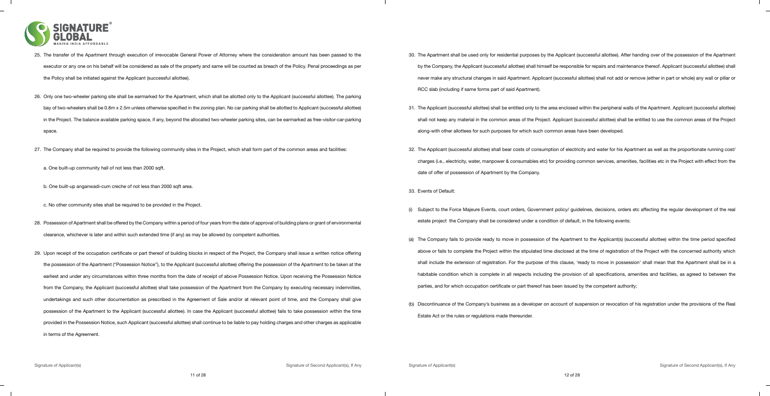

| 25. The transfer of the Apartment through execution of irrevocable General Power of Attorney where the consideration amount has been passed to the              |     | 30. The      |
|-----------------------------------------------------------------------------------------------------------------------------------------------------------------|-----|--------------|
| executor or any one on his behalf will be considered as sale of the property and same will be counted as breach of the Policy. Penal proceedings as per         |     | by th        |
| the Policy shall be initiated against the Applicant (successful allottee).                                                                                      |     | neve         |
|                                                                                                                                                                 |     | <b>RCC</b>   |
| 26. Only one two-wheeler parking site shall be earmarked for the Apartment, which shall be allotted only to the Applicant (successful allottee). The parking    |     |              |
| bay of two-wheelers shall be 0.8m x 2.5m unless otherwise specified in the zoning plan. No car parking shall be allotted to Applicant (successful allottee)     |     | 31. The /    |
| in the Project. The balance available parking space, if any, beyond the allocated two-wheeler parking sites, can be earmarked as free-visitor-car-parking       |     | shall        |
| space.                                                                                                                                                          |     | along        |
|                                                                                                                                                                 |     |              |
| 27. The Company shall be required to provide the following community sites in the Project, which shall form part of the common areas and facilities:            |     | 32. The      |
| a. One built-up community hall of not less than 2000 sqft.                                                                                                      |     | charg        |
|                                                                                                                                                                 |     | date         |
| b. One built-up anganwadi-cum creche of not less than 2000 sqft area.                                                                                           |     | 33. Even     |
|                                                                                                                                                                 |     |              |
| c. No other community sites shall be required to be provided in the Project.                                                                                    | (i) | Subj         |
| 28. Possession of Apartment shall be offered by the Company within a period of four years from the date of approval of building plans or grant of environmental |     | estat        |
| clearance, whichever is later and within such extended time (if any) as may be allowed by competent authorities.                                                |     |              |
|                                                                                                                                                                 |     | $(a)$ The    |
| 29. Upon receipt of the occupation certificate or part thereof of building blocks in respect of the Project, the Company shall issue a written notice offering  |     | abov         |
| the possession of the Apartment ("Possession Notice"), to the Applicant (successful allottee) offering the possession of the Apartment to be taken at the       |     | shall        |
| earliest and under any circumstances within three months from the date of receipt of above Possession Notice. Upon receiving the Possession Notice              |     | habit        |
| from the Company, the Applicant (successful allottee) shall take possession of the Apartment from the Company by executing necessary indemnities,               |     | partio       |
| undertakings and such other documentation as prescribed in the Agreement of Sale and/or at relevant point of time, and the Company shall give                   | (b) | <b>Disco</b> |
| possession of the Apartment to the Applicant (successful allottee). In case the Applicant (successful allottee) fails to take possession within the time        |     | Estat        |
| provided in the Possession Notice, such Applicant (successful allottee) shall continue to be liable to pay holding charges and other charges as applicable      |     |              |
| in terms of the Agreement.                                                                                                                                      |     |              |

30. The Apartment shall be used only for residential purposes by the Applicant (successful allottee). After handing over of the possession of the Apartment he Company, the Applicant (successful allottee) shall himself be responsible for repairs and maintenance thereof. Applicant (successful allottee) shall er make any structural changes in said Apartment. Applicant (successful allottee) shall not add or remove (either in part or whole) any wall or pillar or slab (including if same forms part of said Apartment).

Applicant (successful allottee) shall be entitled only to the area enclosed within the peripheral walls of the Apartment. Applicant (successful allottee) not keep any material in the common areas of the Project. Applicant (successful allottee) shall be entitled to use the common areas of the Project ig-with other allottees for such purposes for which such common areas have been developed.

Applicant (successful allottee) shall bear costs of consumption of electricity and water for his Apartment as well as the proportionate running cost/ rges (i.e., electricity, water, manpower & consumables etc) for providing common services, amenities, facilities etc in the Project with effect from the of offer of possession of Apartment by the Company.

#### nts of Default:

ject to the Force Majeure Events, court orders, Government policy/ guidelines, decisions, orders etc affecting the regular development of the real te project the Company shall be considered under a condition of default, in the following events:

Company fails to provide ready to move in possession of the Apartment to the Applicant(s) (successful allottee) within the time period specified ve or fails to complete the Project within the stipulated time disclosed at the time of registration of the Project with the concerned authority which include the extension of registration. For the purpose of this clause, 'ready to move in possession' shall mean that the Apartment shall be in a table condition which is complete in all respects including the provision of all specifications, amenities and facilities, as agreed to between the ies, and for which occupation certificate or part thereof has been issued by the competent authority;

ontinuance of the Company's business as a developer on account of suspension or revocation of his registration under the provisions of the Real te Act or the rules or regulations made thereunder.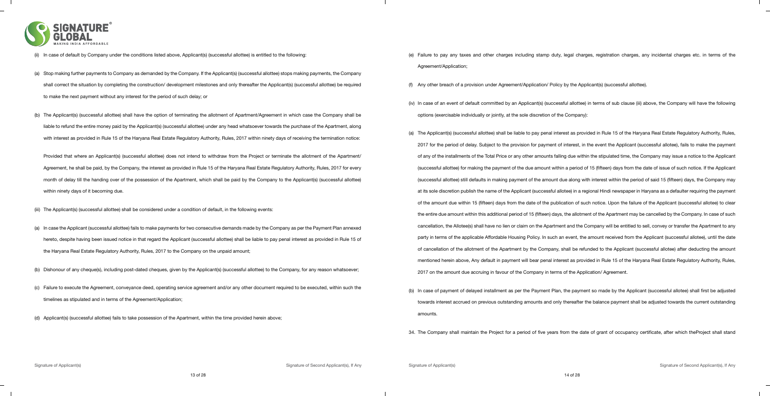

|     | In case of default by Company under the conditions listed above, Applicant(s) (successful allottee) is entitled to the following:                            |     | (e) Failu         |
|-----|--------------------------------------------------------------------------------------------------------------------------------------------------------------|-----|-------------------|
|     |                                                                                                                                                              |     | Agre              |
| (a) | Stop making further payments to Company as demanded by the Company. If the Applicant(s) (successful allottee) stops making payments, the Company             |     |                   |
|     | shall correct the situation by completing the construction/ development milestones and only thereafter the Applicant(s) (successful allottee) be required    | (f) | Any               |
|     | to make the next payment without any interest for the period of such delay; or                                                                               |     |                   |
|     |                                                                                                                                                              |     | $(iv)$ In $ca$    |
| (b) | The Applicant(s) (successful allottee) shall have the option of terminating the allotment of Apartment/Agreement in which case the Company shall be          |     | optic             |
|     | liable to refund the entire money paid by the Applicant(s) (successful allottee) under any head whatsoever towards the purchase of the Apartment, along      |     | (a) The           |
|     | with interest as provided in Rule 15 of the Haryana Real Estate Regulatory Authority, Rules, 2017 within ninety days of receiving the termination notice:    |     | 2017              |
|     |                                                                                                                                                              |     |                   |
|     | Provided that where an Applicant(s) (successful allottee) does not intend to withdraw from the Project or terminate the allotment of the Apartment/          |     | of ar             |
|     | Agreement, he shall be paid, by the Company, the interest as provided in Rule 15 of the Haryana Real Estate Regulatory Authority, Rules, 2017 for every      |     | (suco             |
|     | month of delay till the handing over of the possession of the Apartment, which shall be paid by the Company to the Applicant(s) (successful allottee)        |     | (suco             |
|     | within ninety days of it becoming due.                                                                                                                       |     | at its            |
|     |                                                                                                                                                              |     | of th             |
|     | The Applicant(s) (successful allottee) shall be considered under a condition of default, in the following events:                                            |     | the e             |
| (a) | In case the Applicant (successful allottee) fails to make payments for two consecutive demands made by the Company as per the Payment Plan annexed           |     | canc              |
|     | hereto, despite having been issued notice in that regard the Applicant (successful allottee) shall be liable to pay penal interest as provided in Rule 15 of |     | part <sub>)</sub> |
|     | the Haryana Real Estate Regulatory Authority, Rules, 2017 to the Company on the unpaid amount;                                                               |     | of ca             |
|     |                                                                                                                                                              |     | ment              |
|     | Dishonour of any cheque(s), including post-dated cheques, given by the Applicant(s) (successful allottee) to the Company, for any reason whatsoever;         |     | 2017              |
|     | Failure to execute the Agreement, conveyance deed, operating service agreement and/or any other document required to be executed, within such the            |     |                   |
|     |                                                                                                                                                              |     | (b) In ca         |
|     | timelines as stipulated and in terms of the Agreement/Application;                                                                                           |     | towa              |
|     | Applicant(s) (successful allottee) fails to take possession of the Apartment, within the time provided herein above;                                         |     | amo               |
|     |                                                                                                                                                              |     | 31 The            |

ure to pay any taxes and other charges including stamp duty, legal charges, registration charges, any incidental charges etc. in terms of the ement/Application;

other breach of a provision under Agreement/Application/ Policy by the Applicant(s) (successful allottee).

ase of an event of default committed by an Applicant(s) (successful allottee) in terms of sub clause (iii) above, the Company will have the following ons (exercisable individually or jointly, at the sole discretion of the Company):

Applicant(s) (successful allottee) shall be liable to pay penal interest as provided in Rule 15 of the Haryana Real Estate Regulatory Authority, Rules, for the period of delay. Subject to the provision for payment of interest, in the event the Applicant (successful allotee), fails to make the payment Iny of the installments of the Total Price or any other amounts falling due within the stipulated time, the Company may issue a notice to the Applicant cessful allottee) for making the payment of the due amount within a period of 15 (fifteen) days from the date of issue of such notice. If the Applicant cessful allottee) still defaults in making payment of the amount due along with interest within the period of said 15 (fifteen) days, the Company may sole discretion publish the name of the Applicant (successful allotee) in a regional Hindi newspaper in Haryana as a defaulter requiring the payment ne amount due within 15 (fifteen) days from the date of the publication of such notice. Upon the failure of the Applicant (successful allotee) to clear entire due amount within this additional period of 15 (fifteen) days, the allotment of the Apartment may be cancelled by the Company. In case of such ellation, the Allotee(s) shall have no lien or claim on the Apartment and the Company will be entitled to sell, convey or transfer the Apartment to any for in terms of the applicable Affordable Housing Policy. In such an event, the amount received from the Applicant (successful allotee), until the date ancellation of the allotment of the Apartment by the Company, shall be refunded to the Applicant (successful allotee) after deducting the amount tioned herein above, Any default in payment will bear penal interest as provided in Rule 15 of the Haryana Real Estate Regulatory Authority, Rules, <sup>7</sup> on the amount due accruing in favour of the Company in terms of the Application/ Agreement.

ase of payment of delayed installment as per the Payment Plan, the payment so made by the Applicant (successful allotee) shall first be adjusted ards interest accrued on previous outstanding amounts and only thereafter the balance payment shall be adjusted towards the current outstanding unts.

34. The Company shall maintain the Project for a period of five years from the date of grant of occupancy certificate, after which theProject shall stand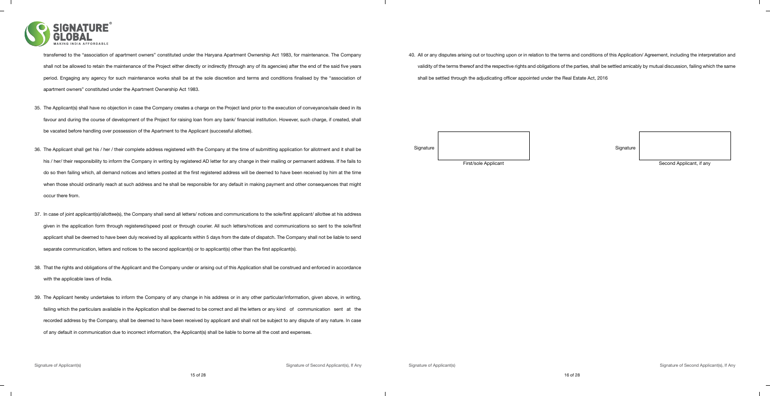

transferred to the "association of apartment owners" constituted under the Haryana Apartment Ownership Act 1983, for maintenance. The Company shall not be allowed to retain the maintenance of the Project either directly or indirectly (through any of its agencies) after the end of the said five years period. Engaging any agency for such maintenance works shall be at the sole discretion and terms and conditions finalised by the "association of apartment owners" constituted under the Apartment Ownership Act 1983.

- 35. The Applicant(s) shall have no objection in case the Company creates a charge on the Project land prior to the execution of conveyance/sale deed in its favour and during the course of development of the Project for raising loan from any bank/ financial institution. However, such charge, if created, shall be vacated before handling over possession of the Apartment to the Applicant (successful allottee).
- 36. The Applicant shall get his / her / their complete address registered with the Company at the time of submitting application for allotment and it shall be his / her/ their responsibility to inform the Company in writing by registered AD letter for any change in their mailing or permanent address. If he fails to do so then failing which, all demand notices and letters posted at the first registered address will be deemed to have been received by him at the time when those should ordinarily reach at such address and he shall be responsible for any default in making payment and other consequences that might occur there from.
- 37. In case of joint applicant(s)/allottee(s), the Company shall send all letters/ notices and communications to the sole/first applicant/ allottee at his address given in the application form through registered/speed post or through courier. All such letters/notices and communications so sent to the sole/first applicant shall be deemed to have been duly received by all applicants within 5 days from the date of dispatch. The Company shall not be liable to send separate communication, letters and notices to the second applicant(s) or to applicant(s) other than the first applicant(s).
- 38. That the rights and obligations of the Applicant and the Company under or arising out of this Application shall be construed and enforced in accordance with the applicable laws of India.
- 39. The Applicant hereby undertakes to inform the Company of any change in his address or in any other particular/information, given above, in writing, failing which the particulars available in the Application shall be deemed to be correct and all the letters or any kind of communication sent at the recorded address by the Company, shall be deemed to have been received by applicant and shall not be subject to any dispute of any nature. In case of any default in communication due to incorrect information, the Applicant(s) shall be liable to borne all the cost and expenses.

40. All or any disputes arising out or touching upon or in relation to the terms and conditions of this Application/ Agreement, including the interpretation and validity of the terms thereof and the respective rights and obligations of the parties, shall be settled amicably by mutual discussion, failing which the same shall be settled through the adjudicating officer appointed under the Real Estate Act, 2016

| Signature | Signature |
|-----------|-----------|
|           |           |

First/sole Applicant Second Applicant Second Applicant, if any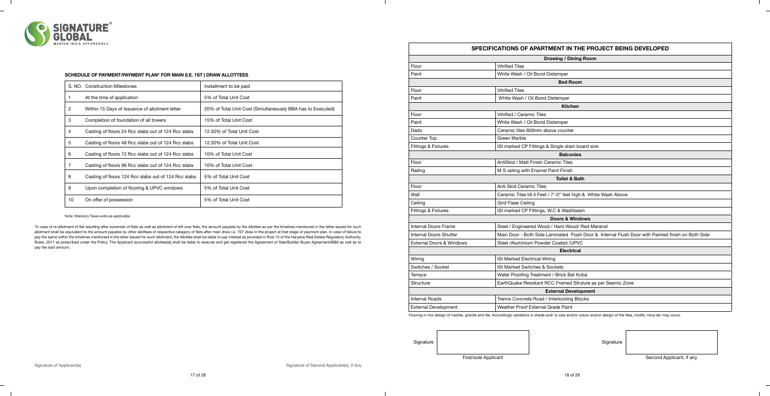|    | S. NO. Construction Milestones                       | Installment to be paid                                      |
|----|------------------------------------------------------|-------------------------------------------------------------|
|    | At the time of application                           | 5% of Total Unit Cost                                       |
| 2  | Within 15 Days of Issuance of allotment letter       | 20% of Total Unit Cost (Simultaneously BBA has to Executed) |
| 3  | Completion of foundation of all towers               | 15% of Total Unit Cost                                      |
| 4  | Casting of floors 24 Rcc slabs out of 124 Rcc slabs  | 12.50% of Total Unit Cost                                   |
| 5  | Casting of floors 48 Rcc slabs out of 124 Rcc slabs  | 12.50% of Total Unit Cost                                   |
| 6  | Casting of floors 72 Rcc slabs out of 124 Rcc slabs  | 10% of Total Unit Cost                                      |
| 7  | Casting of floors 96 Rcc slabs out of 124 Rcc slabs  | 10% of Total Unit Cost                                      |
| 8  | Casting of floors 124 Rcc slabs out of 124 Rcc slabs | 5% of Total Unit Cost                                       |
| 9  | Upon completion of flooring & UPVC windows           | 5% of Total Unit Cost                                       |
| 10 | On offer of possession                               | 5% of Total Unit Cost                                       |

\*In case of re-allotment of flat resulting after surrender of flats as well as allotment of left over flats, the amount payable by the Allottee as per the timelines mentioned in the letter issued for such allotment shall be equivalent to the amount payable by other allottees of respective category of flats after main draw i.e. 1ST draw in the project at that stage of payment plan. In case of failure to pay the same within the timelines mentioned in the letter issued for such allotment, the Allottee shall be liable to pay interest as provided in Rule 15 of the Haryana Real Estate Regulatory Authority, Rules, 2017 as prescribed under the Policy. The Applicant (successful allottee(s)) shall be liable to execute and get registered the Agreement of Sale/Builder Buyer Agreement/BBA as well as to pay the said amount.

Counter

Ceiling

Wiring

Switche

Flooring in mix design of marble, granite and tile. Accordingly variations in shade and/ or size and/or colour and/or design of the tiles, motifs, mica etc may occur.



#### **SCHEDULE OF PAYMENT/PAYMENT PLAN\* FOR MAIN (I.E. 1ST ) DRAW ALLOTTEES**

Note: Statutory Taxes extra as applicable.

| SPECIFICATIONS OF APARTMENT IN THE PROJECT BEING DEVELOPED |                                                                                                   |  |  |  |  |
|------------------------------------------------------------|---------------------------------------------------------------------------------------------------|--|--|--|--|
|                                                            | <b>Drawing / Dining Room</b>                                                                      |  |  |  |  |
| Floor                                                      | <b>Vitrified Tiles</b>                                                                            |  |  |  |  |
| Paint                                                      | White Wash / Oil Bond Distemper                                                                   |  |  |  |  |
|                                                            | <b>Bed Room</b>                                                                                   |  |  |  |  |
| Floor                                                      | <b>Vitrified Tiles</b>                                                                            |  |  |  |  |
| Paint                                                      | White Wash / Oil Bond Distemper                                                                   |  |  |  |  |
|                                                            | <b>Kitchen</b>                                                                                    |  |  |  |  |
| Floor                                                      | Vitrified / Ceramic Tiles                                                                         |  |  |  |  |
| Paint                                                      | White Wash / Oil Bond Distemper                                                                   |  |  |  |  |
| Dado                                                       | Ceramic tiles 600mm above counter                                                                 |  |  |  |  |
| Counter Top                                                | Green Marble                                                                                      |  |  |  |  |
| <b>Fittings &amp; Fixtures</b>                             | ISI marked CP Fittings & Single drain board sink                                                  |  |  |  |  |
|                                                            | <b>Balconies</b>                                                                                  |  |  |  |  |
| Floor                                                      | AntiSkid / Matt Finish Ceramic Tiles                                                              |  |  |  |  |
| Railing                                                    | M S railing with Enamel Paint Finish                                                              |  |  |  |  |
|                                                            | <b>Toilet &amp; Bath</b>                                                                          |  |  |  |  |
| Floor                                                      | Anti Skid Ceramic Tiles                                                                           |  |  |  |  |
| Wall                                                       | Ceramic Tiles till 4 Feet / 7'-0" feet high & White Wash Above                                    |  |  |  |  |
| Ceiling                                                    | <b>Grid Flase Ceiling</b>                                                                         |  |  |  |  |
| Fittings & Fixtures                                        | ISI marked CP Fittings, W.C & Washbasin                                                           |  |  |  |  |
|                                                            | <b>Doors &amp; Windows</b>                                                                        |  |  |  |  |
| <b>Internal Doors Frame</b>                                | Steel / Engineered Wood / Hard Wood/ Red Merandi                                                  |  |  |  |  |
| <b>Internal Doors Shutter</b>                              | Main Door - Both Side Laminated Flush Door & Internal Flush Door with Painted finish on Both Side |  |  |  |  |
| <b>External Doors &amp; Windows</b>                        | Steel /Aluminium Powder Coated /UPVC                                                              |  |  |  |  |
|                                                            | <b>Electrical</b>                                                                                 |  |  |  |  |
| Wiring                                                     | ISI Marked Electrical Wiring                                                                      |  |  |  |  |
| Switches / Socket                                          | ISI Marked Switches & Sockets                                                                     |  |  |  |  |
| Terrace                                                    | Water Proofing Treatment / Brick Bat Koba                                                         |  |  |  |  |
| Structure                                                  | EarthQuake Resistant RCC Framed Struture as per Sesmic Zone                                       |  |  |  |  |
|                                                            | <b>External Development</b>                                                                       |  |  |  |  |
| <b>Internal Roads</b>                                      | Tremix Concrete Road / Interlocking Blocks                                                        |  |  |  |  |
| <b>External Development</b>                                | Weather Proof External Grade Paint                                                                |  |  |  |  |

Signature Signature Signature Signature Signature Signature Signature Signature

First/sole Applicant **Second Applicant** Second Applicant, if any

 $\overline{\phantom{a}}$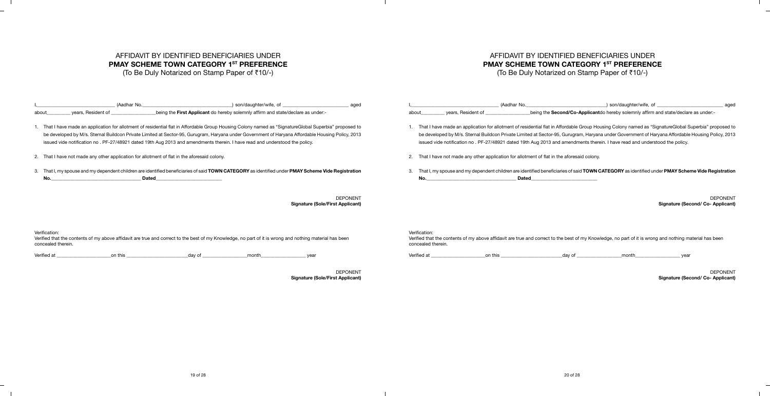# AFFIDAVIT BY IDENTIFIED BENEFICIARIES UNDER **PMAY SCHEME TOWN CATEGORY 1ST PREFERENCE**

 $\overline{\phantom{a}}$ 

 $\overline{\phantom{0}}$ 

(To Be Duly Notarized on Stamp Paper of ₹10/-)

# AFFIDAVIT BY IDENTIFIED BENEFICIARIES UNDER **PMAY SCHEME TOWN CATEGORY 1ST PREFERENCE**

(To Be Duly Notarized on Stamp Paper of  $\bar{r}$ 10/-)

I<u>,\_\_\_\_\_\_\_\_\_\_\_\_\_\_\_\_\_\_\_\_\_\_\_\_\_\_\_\_\_\_\_\_\_\_</u> (Aadhar No.\_\_\_\_\_\_\_\_\_\_\_\_\_\_\_\_\_\_\_\_\_\_\_\_\_\_\_\_\_\_) son/daughter/wife, of \_\_\_\_\_\_\_\_\_\_\_\_\_\_\_\_\_\_\_\_\_\_\_\_\_\_\_\_\_\_\_ aged

Superbia" proposed to e Housing Policy, 2013

DEPONENT **Sigmature (Co- Applicant)**   $\mathbb{R}$ 

 $\frac{1}{2}$ 

 $\overline{\phantom{0}}$ 

 $\Box$ 

DEPONENT **Signature (Sole/First Applicant)**

|                                     | (Aadhar No.                                                                                                                                                                                                                                                                                                                                                                                                                               | son/daughter/wife, of                                                            | aged                                                       |                                     | (Aadhar No.                                                                                                                                                                                                                                                                                                                                                                                                            |                                                                                     | son/daughter/wife, of |                          |
|-------------------------------------|-------------------------------------------------------------------------------------------------------------------------------------------------------------------------------------------------------------------------------------------------------------------------------------------------------------------------------------------------------------------------------------------------------------------------------------------|----------------------------------------------------------------------------------|------------------------------------------------------------|-------------------------------------|------------------------------------------------------------------------------------------------------------------------------------------------------------------------------------------------------------------------------------------------------------------------------------------------------------------------------------------------------------------------------------------------------------------------|-------------------------------------------------------------------------------------|-----------------------|--------------------------|
| about                               | years, Resident of                                                                                                                                                                                                                                                                                                                                                                                                                        | being the First Applicant do hereby solemnly affirm and state/declare as under:- |                                                            | about                               | years, Resident of                                                                                                                                                                                                                                                                                                                                                                                                     | being the Second/Co-Applicantdo hereby solemnly affirm and state/declare as under:- |                       |                          |
|                                     | That I have made an application for allotment of residential flat in Affordable Group Housing Colony named as "SignatureGlobal Superbia" proposed to<br>be developed by M/s. Sternal Buildcon Private Limited at Sector-95, Gurugram, Haryana under Government of Haryana Affordable Housing Policy, 2013<br>issued vide notification no . PF-27/48921 dated 19th Aug 2013 and amendments therein. I have read and understood the policy. |                                                                                  |                                                            |                                     | That I have made an application for allotment of residential flat in Affordable Group Housing Colony named as "SignatureGlobal Superbia" pr<br>be developed by M/s. Sternal Buildcon Private Limited at Sector-95, Gurugram, Haryana under Government of Haryana Affordable Housing Po<br>issued vide notification no . PF-27/48921 dated 19th Aug 2013 and amendments therein. I have read and understood the policy. |                                                                                     |                       |                          |
|                                     | 2. That I have not made any other application for allotment of flat in the aforesaid colony.                                                                                                                                                                                                                                                                                                                                              |                                                                                  |                                                            | 2.                                  | That I have not made any other application for allotment of flat in the aforesaid colony.                                                                                                                                                                                                                                                                                                                              |                                                                                     |                       |                          |
| No.                                 | That I, my spouse and my dependent children are identified beneficiaries of said TOWN CATEGORY as identified under PMAY Scheme Vide Registration<br><b>Dated</b>                                                                                                                                                                                                                                                                          |                                                                                  |                                                            | No.                                 | That I, my spouse and my dependent children are identified beneficiaries of said TOWN CATEGORY as identified under PMAY Scheme Vide Re<br><b>Dated</b>                                                                                                                                                                                                                                                                 |                                                                                     |                       |                          |
|                                     |                                                                                                                                                                                                                                                                                                                                                                                                                                           |                                                                                  | <b>DEPONENT</b><br><b>Signature (Sole/First Applicant)</b> |                                     |                                                                                                                                                                                                                                                                                                                                                                                                                        |                                                                                     |                       | Signature (Second/ Co- / |
| Verification:<br>concealed therein. | Verified that the contents of my above affidavit are true and correct to the best of my Knowledge, no part of it is wrong and nothing material has been                                                                                                                                                                                                                                                                                   |                                                                                  |                                                            | Verification:<br>concealed therein. | Verified that the contents of my above affidavit are true and correct to the best of my Knowledge, no part of it is wrong and nothing material has b                                                                                                                                                                                                                                                                   |                                                                                     |                       |                          |
| Verified at                         | on this                                                                                                                                                                                                                                                                                                                                                                                                                                   | _day of<br>month                                                                 | vear                                                       | Verified at                         | on this                                                                                                                                                                                                                                                                                                                                                                                                                | day of                                                                              | month                 | vear                     |

 $\mathbb{R}$ 

 $\mathbb{R}$ 

3. That I, my spouse and my dependent children are identified beneficiaries of said **TOWN CATEGORY** as identified under **PMAY Scheme Vide Registration** 

DEPONENT **Signature (Second/ Co- Applicant)**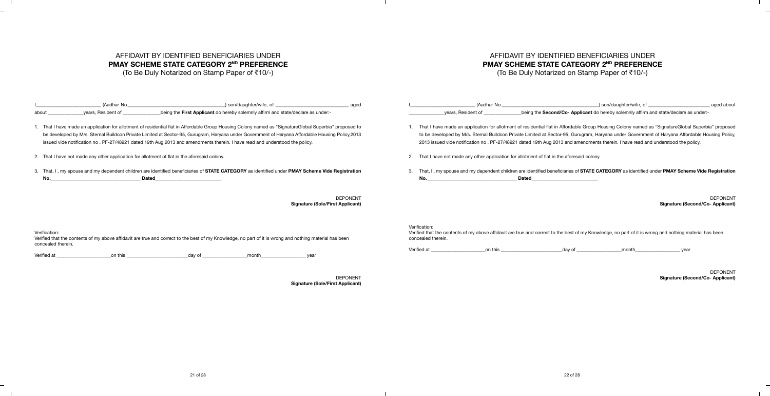# AFFIDAVIT BY IDENTIFIED BENEFICIARIES UNDER **PMAY SCHEME STATE CATEGORY 2ND PREFERENCE**

 $\overline{\phantom{0}}$ 

(To Be Duly Notarized on Stamp Paper of  $\bar{c}10/-$ )

## AFFIDAVIT BY IDENTIFIED BENEFICIARIES UNDER **PMAY SCHEME STATE CATEGORY 2ND PREFERENCE**

(To Be Duly Notarized on Stamp Paper of  $\bar{c}10/-$ )

 $\mathbb{R}$ 

 $\overline{\phantom{0}}$ 

 $\Box$ 

DEPONENT **Signature (Sole/First Applicant)**

| (Aadhar No.                                                                                                                                                                                                                                                                                                                                                                                                                                  | son/daughter/wife, of                                                            | aged                                                       |                                     | (Aadhar No.                                                                                                                                                                                                                                                                                                                                                                                                                               |                                                                                       | ) son/daughter/wife, of | aged about                                                 |
|----------------------------------------------------------------------------------------------------------------------------------------------------------------------------------------------------------------------------------------------------------------------------------------------------------------------------------------------------------------------------------------------------------------------------------------------|----------------------------------------------------------------------------------|------------------------------------------------------------|-------------------------------------|-------------------------------------------------------------------------------------------------------------------------------------------------------------------------------------------------------------------------------------------------------------------------------------------------------------------------------------------------------------------------------------------------------------------------------------------|---------------------------------------------------------------------------------------|-------------------------|------------------------------------------------------------|
| years, Resident of<br>about                                                                                                                                                                                                                                                                                                                                                                                                                  | being the First Applicant do hereby solemnly affirm and state/declare as under:- |                                                            |                                     | years, Resident of                                                                                                                                                                                                                                                                                                                                                                                                                        | being the Second/Co- Applicant do hereby solemnly affirm and state/declare as under:- |                         |                                                            |
| I. That I have made an application for allotment of residential flat in Affordable Group Housing Colony named as "SignatureGlobal Superbia" proposed to<br>be developed by M/s. Sternal Buildcon Private Limited at Sector-95, Gurugram, Haryana under Government of Haryana Affordable Housing Policy, 2013<br>issued vide notification no . PF-27/48921 dated 19th Aug 2013 and amendments therein. I have read and understood the policy. |                                                                                  |                                                            |                                     | That I have made an application for allotment of residential flat in Affordable Group Housing Colony named as "SignatureGlobal Superbia" proposed<br>to be developed by M/s. Sternal Buildcon Private Limited at Sector-95, Gurugram, Haryana under Government of Haryana Affordable Housing Policy,<br>2013 issued vide notification no . PF-27/48921 dated 19th Aug 2013 and amendments therein. I have read and understood the policy. |                                                                                       |                         |                                                            |
| 2. That I have not made any other application for allotment of flat in the aforesaid colony.                                                                                                                                                                                                                                                                                                                                                 |                                                                                  |                                                            |                                     | That I have not made any other application for allotment of flat in the aforesaid colony.                                                                                                                                                                                                                                                                                                                                                 |                                                                                       |                         |                                                            |
| 3. That, I, my spouse and my dependent children are identified beneficiaries of STATE CATEGORY as identified under PMAY Scheme Vide Registration<br><b>Dated</b><br>No.                                                                                                                                                                                                                                                                      |                                                                                  |                                                            | No.                                 | That, I, my spouse and my dependent children are identified beneficiaries of STATE CATEGORY as identified under PMAY Scheme Vide Registration                                                                                                                                                                                                                                                                                             | <b>Dated</b>                                                                          |                         |                                                            |
|                                                                                                                                                                                                                                                                                                                                                                                                                                              |                                                                                  | <b>DEPONENT</b><br><b>Signature (Sole/First Applicant)</b> |                                     |                                                                                                                                                                                                                                                                                                                                                                                                                                           |                                                                                       |                         | <b>DEPONENT</b><br><b>Signature (Second/Co- Applicant)</b> |
| Verification:<br>Verified that the contents of my above affidavit are true and correct to the best of my Knowledge, no part of it is wrong and nothing material has been<br>concealed therein.                                                                                                                                                                                                                                               |                                                                                  |                                                            | Verification:<br>concealed therein. | Verified that the contents of my above affidavit are true and correct to the best of my Knowledge, no part of it is wrong and nothing material has been                                                                                                                                                                                                                                                                                   |                                                                                       |                         |                                                            |
| Verified at<br>on this<br>dav of                                                                                                                                                                                                                                                                                                                                                                                                             | month<br>vear                                                                    |                                                            | Verified at                         | on this                                                                                                                                                                                                                                                                                                                                                                                                                                   | dav of                                                                                | month                   | vear                                                       |

 $\mathbb{R}$ 

 $\mathbb{R}$ 

DEPONENT **Signature (Second/Co- Applicant)**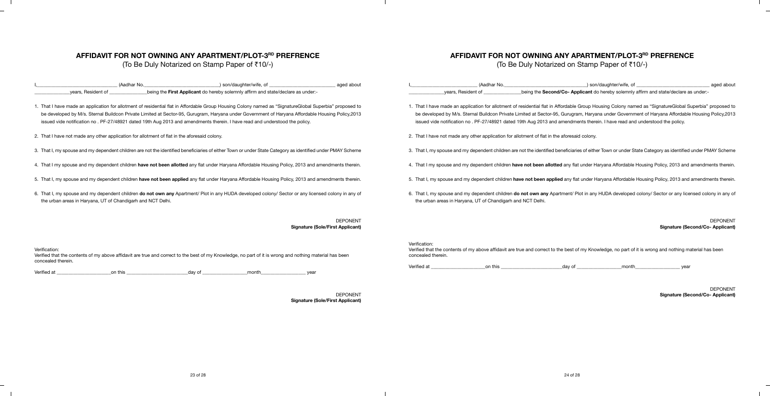### **AFFIDAVIT FOR NOT OWNING ANY APARTMENT/PLOT-3RD PREFRENCE**

(To Be Duly Notarized on Stamp Paper of ₹10/-)

Verified that the contents of my above affidavit are true and correct to the best of my Knowledge, no part of it is wrong and nothing material has been concealed therein.

|                                                                                              | (Aadhar No. | ) son/daughter/wife, of                                                                                                                                                                                                                                                                                                                                                                                                                     | aged about                                                 |               | (Aadhar No.                                                                                  | ) son/daughter/wife, of                                                                                                                                                                                                                                                                                                                                                                                                                     | aged about                                                 |
|----------------------------------------------------------------------------------------------|-------------|---------------------------------------------------------------------------------------------------------------------------------------------------------------------------------------------------------------------------------------------------------------------------------------------------------------------------------------------------------------------------------------------------------------------------------------------|------------------------------------------------------------|---------------|----------------------------------------------------------------------------------------------|---------------------------------------------------------------------------------------------------------------------------------------------------------------------------------------------------------------------------------------------------------------------------------------------------------------------------------------------------------------------------------------------------------------------------------------------|------------------------------------------------------------|
| years, Resident of                                                                           |             | being the First Applicant do hereby solemnly affirm and state/declare as under:-                                                                                                                                                                                                                                                                                                                                                            |                                                            |               | years, Resident of                                                                           | -being the Second/Co- Applicant do hereby solemnly affirm and state/declare as under:-                                                                                                                                                                                                                                                                                                                                                      |                                                            |
|                                                                                              |             | . That I have made an application for allotment of residential flat in Affordable Group Housing Colony named as "SignatureGlobal Superbia" proposed to<br>be developed by M/s. Sternal Buildcon Private Limited at Sector-95, Gurugram, Haryana under Government of Haryana Affordable Housing Policy, 2013<br>issued vide notification no . PF-27/48921 dated 19th Aug 2013 and amendments therein. I have read and understood the policy. |                                                            |               |                                                                                              | 1. That I have made an application for allotment of residential flat in Affordable Group Housing Colony named as "SignatureGlobal Superbia" proposed to<br>be developed by M/s. Sternal Buildcon Private Limited at Sector-95, Gurugram, Haryana under Government of Haryana Affordable Housing Policy,2013<br>issued vide notification no . PF-27/48921 dated 19th Aug 2013 and amendments therein. I have read and understood the policy. |                                                            |
| 2. That I have not made any other application for allotment of flat in the aforesaid colony. |             |                                                                                                                                                                                                                                                                                                                                                                                                                                             |                                                            |               | 2. That I have not made any other application for allotment of flat in the aforesaid colony. |                                                                                                                                                                                                                                                                                                                                                                                                                                             |                                                            |
|                                                                                              |             | 3. That I, my spouse and my dependent children are not the identified beneficiaries of either Town or under State Category as identified under PMAY Scheme                                                                                                                                                                                                                                                                                  |                                                            |               |                                                                                              | 3. That I, my spouse and my dependent children are not the identified beneficiaries of either Town or under State Category as identified under PMAY Scheme                                                                                                                                                                                                                                                                                  |                                                            |
|                                                                                              |             | 4. That I my spouse and my dependent children have not been allotted any flat under Haryana Affordable Housing Policy, 2013 and amendments therein.                                                                                                                                                                                                                                                                                         |                                                            |               |                                                                                              | 4. That I my spouse and my dependent children have not been allotted any flat under Haryana Affordable Housing Policy, 2013 and amendments therein.                                                                                                                                                                                                                                                                                         |                                                            |
|                                                                                              |             | 5. That I, my spouse and my dependent children have not been applied any flat under Haryana Affordable Housing Policy, 2013 and amendments therein.                                                                                                                                                                                                                                                                                         |                                                            |               |                                                                                              | 5. That I, my spouse and my dependent children have not been applied any flat under Haryana Affordable Housing Policy, 2013 and amendments therein.                                                                                                                                                                                                                                                                                         |                                                            |
| the urban areas in Haryana, UT of Chandigarh and NCT Delhi.                                  |             | 6. That I, my spouse and my dependent children do not own any Apartment/ Plot in any HUDA developed colony/ Sector or any licensed colony in any of                                                                                                                                                                                                                                                                                         |                                                            |               | the urban areas in Haryana, UT of Chandigarh and NCT Delhi.                                  | 6. That I, my spouse and my dependent children do not own any Apartment/ Plot in any HUDA developed colony/ Sector or any licensed colony in any of                                                                                                                                                                                                                                                                                         |                                                            |
|                                                                                              |             |                                                                                                                                                                                                                                                                                                                                                                                                                                             | <b>DEPONENT</b><br><b>Signature (Sole/First Applicant)</b> |               |                                                                                              |                                                                                                                                                                                                                                                                                                                                                                                                                                             | <b>DEPONENT</b><br><b>Signature (Second/Co- Applicant)</b> |
| Verification:                                                                                |             |                                                                                                                                                                                                                                                                                                                                                                                                                                             |                                                            | Verification: |                                                                                              | Verified that the contents of my above affidavit are true and correct to the best of my Knowledge, no part of it is wrong and nothing material has been                                                                                                                                                                                                                                                                                     |                                                            |

 $\Box$ 

 $\Box$ 

Verified at \_\_\_\_\_\_\_\_\_\_\_\_\_\_\_\_\_\_\_\_\_\_\_on this \_\_\_\_\_\_\_\_\_\_\_\_\_\_\_\_\_\_\_\_\_\_\_\_\_\_day of \_\_\_\_\_\_\_\_\_\_\_\_\_\_\_\_\_\_\_month\_\_\_\_\_\_\_\_\_\_\_\_\_\_\_\_\_\_\_ year

DEPONENT **Signature (Sole/First Applicant)**

### **AFFIDAVIT FOR NOT OWNING ANY APARTMENT/PLOT-3RD PREFRENCE**

(To Be Duly Notarized on Stamp Paper of  $\bar{\tau}$ 10/-)

 $\mathbb{R}$ 

 $\overline{\phantom{0}}$ 

 $\Box$ 

Verified that the contents of my above affidavit are true and correct to the best of my Knowledge, no part of it is wrong and nothing material has been concealed therein.

Verified at \_\_\_\_\_\_\_\_\_\_\_\_\_\_\_\_\_\_\_\_\_\_\_on this \_\_\_\_\_\_\_\_\_\_\_\_\_\_\_\_\_\_\_\_\_\_\_\_\_\_day of \_\_\_\_\_\_\_\_\_\_\_\_\_\_\_\_\_\_\_month\_\_\_\_\_\_\_\_\_\_\_\_\_\_\_\_\_\_\_ year

DEPONENT **Signature (Second/Co- Applicant)**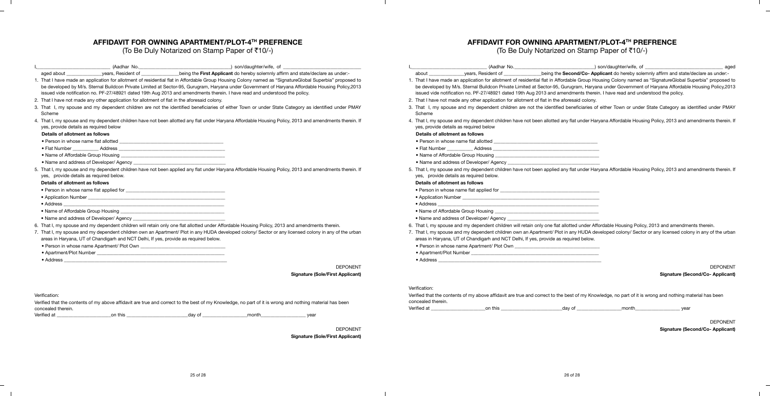## **AFFIDAVIT FOR OWNING APARTMENT/PLOT-4TH PREFRENCE**

 $\sim$  1.

 $\overline{\phantom{a}}$ 

 $\overline{\phantom{0}}$ 

(To Be Duly Notarized on Stamp Paper of  $\bar{c}10/-$ )

# **AFFIDAVIT FOR OWNING APARTMENT/PLOT-4TH PREFRENCE**

a Tan

 $\overline{\phantom{a}}$ 

 $\overline{\phantom{0}}$ 

 $\mathbb{R}^n$ 

(To Be Duly Notarized on Stamp Paper of  $\bar{c}10/-$ )

|                                         | (Aadhar No.                                                                                                                                                                                                                                                                                                                                                                                                                              |                                                                                                                       | ) son/daughter/wife, of                                                           |                                         |                    | (Aadhar No.                                                                                  | _) son/daughter/wife, of                                                                                                                                                                                                                                                                                                                                                                                                                    | aged                                    |
|-----------------------------------------|------------------------------------------------------------------------------------------------------------------------------------------------------------------------------------------------------------------------------------------------------------------------------------------------------------------------------------------------------------------------------------------------------------------------------------------|-----------------------------------------------------------------------------------------------------------------------|-----------------------------------------------------------------------------------|-----------------------------------------|--------------------|----------------------------------------------------------------------------------------------|---------------------------------------------------------------------------------------------------------------------------------------------------------------------------------------------------------------------------------------------------------------------------------------------------------------------------------------------------------------------------------------------------------------------------------------------|-----------------------------------------|
| aged about                              | years, Resident of                                                                                                                                                                                                                                                                                                                                                                                                                       |                                                                                                                       | _being the First Applicant do hereby solemnly affirm and state/declare as under:- |                                         | about              | vears, Resident of                                                                           | _being the Second/Co- Applicant do hereby solemnly affirm and state/declare as under:-                                                                                                                                                                                                                                                                                                                                                      |                                         |
|                                         | That I have made an application for allotment of residential flat in Affordable Group Housing Colony named as "SignatureGlobal Superbia" proposed to<br>be developed by M/s. Sternal Buildcon Private Limited at Sector-95, Gurugram, Haryana under Government of Haryana Affordable Housing Policy, 2013<br>issued vide notification no. PF-27/48921 dated 19th Aug 2013 and amendments therein. I have read and understood the policy. |                                                                                                                       |                                                                                   |                                         |                    |                                                                                              | 1. That I have made an application for allotment of residential flat in Affordable Group Housing Colony named as "SignatureGlobal Superbia" proposed to<br>be developed by M/s. Sternal Buildcon Private Limited at Sector-95, Gurugram, Haryana under Government of Haryana Affordable Housing Policy, 2013<br>issued vide notification no. PF-27/48921 dated 19th Aug 2013 and amendments therein. I have read and understood the policy. |                                         |
|                                         | 2. That I have not made any other application for allotment of flat in the aforesaid colony.                                                                                                                                                                                                                                                                                                                                             |                                                                                                                       |                                                                                   |                                         |                    | 2. That I have not made any other application for allotment of flat in the aforesaid colony. |                                                                                                                                                                                                                                                                                                                                                                                                                                             |                                         |
| Scheme                                  | 3. That I, my spouse and my dependent children are not the identified beneficiaries of either Town or under State Category as identified under PMAY                                                                                                                                                                                                                                                                                      |                                                                                                                       |                                                                                   |                                         | Scheme             |                                                                                              | 3. That I, my spouse and my dependent children are not the identified beneficiaries of either Town or under State Category as identified under PMAY                                                                                                                                                                                                                                                                                         |                                         |
| yes, provide details as required below  | That I, my spouse and my dependent children have not been allotted any flat under Haryana Affordable Housing Policy, 2013 and amendments therein. If                                                                                                                                                                                                                                                                                     |                                                                                                                       |                                                                                   |                                         |                    | yes, provide details as required below                                                       | 4. That I, my spouse and my dependent children have not been allotted any flat under Haryana Affordable Housing Policy, 2013 and amendments therein. If                                                                                                                                                                                                                                                                                     |                                         |
| Details of allotment as follows         |                                                                                                                                                                                                                                                                                                                                                                                                                                          |                                                                                                                       |                                                                                   |                                         |                    | Details of allotment as follows                                                              |                                                                                                                                                                                                                                                                                                                                                                                                                                             |                                         |
| • Person in whose name flat allotted    |                                                                                                                                                                                                                                                                                                                                                                                                                                          |                                                                                                                       |                                                                                   |                                         |                    | • Person in whose name flat allotted                                                         | <u> 1980 - Johann Barn, mars ann an t-Amhain ann an t-Amhain an t-Amhain an t-Amhain an t-Amhain an t-Amhain an t-</u>                                                                                                                                                                                                                                                                                                                      |                                         |
| • Flat Number                           | Address                                                                                                                                                                                                                                                                                                                                                                                                                                  | <u> 1989 - Johann Harry Harry Harry Harry Harry Harry Harry Harry Harry Harry Harry Harry Harry Harry Harry Harry</u> |                                                                                   |                                         | • Flat Number      | Address                                                                                      |                                                                                                                                                                                                                                                                                                                                                                                                                                             |                                         |
| • Name of Affordable Group Housing      |                                                                                                                                                                                                                                                                                                                                                                                                                                          |                                                                                                                       |                                                                                   |                                         |                    | • Name of Affordable Group Housing                                                           |                                                                                                                                                                                                                                                                                                                                                                                                                                             |                                         |
|                                         | • Name and address of Developer/ Agency                                                                                                                                                                                                                                                                                                                                                                                                  |                                                                                                                       |                                                                                   |                                         |                    | • Name and address of Developer/ Agency                                                      |                                                                                                                                                                                                                                                                                                                                                                                                                                             |                                         |
| yes, provide details as required below. | . That I, my spouse and my dependent children have not been applied any flat under Haryana Affordable Housing Policy, 2013 and amendments therein. If                                                                                                                                                                                                                                                                                    |                                                                                                                       |                                                                                   |                                         |                    | yes, provide details as required below.                                                      | 5. That I, my spouse and my dependent children have not been applied any flat under Haryana Affordable Housing Policy, 2013 and amendments therein. If                                                                                                                                                                                                                                                                                      |                                         |
| Details of allotment as follows         |                                                                                                                                                                                                                                                                                                                                                                                                                                          |                                                                                                                       |                                                                                   |                                         |                    | Details of allotment as follows                                                              |                                                                                                                                                                                                                                                                                                                                                                                                                                             |                                         |
|                                         |                                                                                                                                                                                                                                                                                                                                                                                                                                          |                                                                                                                       |                                                                                   |                                         |                    |                                                                                              |                                                                                                                                                                                                                                                                                                                                                                                                                                             |                                         |
|                                         |                                                                                                                                                                                                                                                                                                                                                                                                                                          |                                                                                                                       |                                                                                   |                                         |                    |                                                                                              |                                                                                                                                                                                                                                                                                                                                                                                                                                             |                                         |
| • Address                               |                                                                                                                                                                                                                                                                                                                                                                                                                                          |                                                                                                                       |                                                                                   |                                         | • Address          |                                                                                              |                                                                                                                                                                                                                                                                                                                                                                                                                                             |                                         |
| • Name of Affordable Group Housing      |                                                                                                                                                                                                                                                                                                                                                                                                                                          |                                                                                                                       |                                                                                   |                                         |                    |                                                                                              |                                                                                                                                                                                                                                                                                                                                                                                                                                             |                                         |
|                                         | • Name and address of Developer/ Agency                                                                                                                                                                                                                                                                                                                                                                                                  |                                                                                                                       |                                                                                   |                                         |                    | . Name and address of Developer/ Agency                                                      |                                                                                                                                                                                                                                                                                                                                                                                                                                             |                                         |
|                                         | 6. That I, my spouse and my dependent children will retain only one flat allotted under Affordable Housing Policy, 2013 and amendments therein.                                                                                                                                                                                                                                                                                          |                                                                                                                       |                                                                                   |                                         |                    |                                                                                              | 6. That I, my spouse and my dependent children will retain only one flat allotted under Affordable Housing Policy, 2013 and amendments therein.                                                                                                                                                                                                                                                                                             |                                         |
|                                         | 7. That I, my spouse and my dependent children own an Apartment/ Plot in any HUDA developed colony/ Sector or any licensed colony in any of the urban<br>areas in Haryana, UT of Chandigarh and NCT Delhi, If yes, provide as required below.                                                                                                                                                                                            |                                                                                                                       |                                                                                   |                                         |                    | areas in Haryana, UT of Chandigarh and NCT Delhi, If yes, provide as required below.         | 7. That I, my spouse and my dependent children own an Apartment/ Plot in any HUDA developed colony/ Sector or any licensed colony in any of the urban                                                                                                                                                                                                                                                                                       |                                         |
|                                         |                                                                                                                                                                                                                                                                                                                                                                                                                                          |                                                                                                                       |                                                                                   |                                         |                    |                                                                                              |                                                                                                                                                                                                                                                                                                                                                                                                                                             |                                         |
| • Address                               |                                                                                                                                                                                                                                                                                                                                                                                                                                          |                                                                                                                       |                                                                                   |                                         |                    |                                                                                              |                                                                                                                                                                                                                                                                                                                                                                                                                                             |                                         |
|                                         |                                                                                                                                                                                                                                                                                                                                                                                                                                          |                                                                                                                       |                                                                                   | <b>DEPONENT</b>                         |                    |                                                                                              |                                                                                                                                                                                                                                                                                                                                                                                                                                             | <b>DEPONENT</b>                         |
|                                         |                                                                                                                                                                                                                                                                                                                                                                                                                                          |                                                                                                                       |                                                                                   | <b>Signature (Sole/First Applicant)</b> |                    |                                                                                              |                                                                                                                                                                                                                                                                                                                                                                                                                                             | <b>Signature (Second/Co- Applicant)</b> |
|                                         |                                                                                                                                                                                                                                                                                                                                                                                                                                          |                                                                                                                       |                                                                                   |                                         | Verification:      |                                                                                              |                                                                                                                                                                                                                                                                                                                                                                                                                                             |                                         |
| Verification:                           |                                                                                                                                                                                                                                                                                                                                                                                                                                          |                                                                                                                       |                                                                                   |                                         | concealed therein. |                                                                                              | Verified that the contents of my above affidavit are true and correct to the best of my Knowledge, no part of it is wrong and nothing material has been                                                                                                                                                                                                                                                                                     |                                         |
| concealed therein.                      | Verified that the contents of my above affidavit are true and correct to the best of my Knowledge, no part of it is wrong and nothing material has been                                                                                                                                                                                                                                                                                  |                                                                                                                       |                                                                                   |                                         | Verified at        | on this                                                                                      | _day of<br>month                                                                                                                                                                                                                                                                                                                                                                                                                            | vear                                    |
| Verified at                             | on this                                                                                                                                                                                                                                                                                                                                                                                                                                  | day of                                                                                                                | month                                                                             | year                                    |                    |                                                                                              |                                                                                                                                                                                                                                                                                                                                                                                                                                             |                                         |
|                                         |                                                                                                                                                                                                                                                                                                                                                                                                                                          |                                                                                                                       |                                                                                   |                                         |                    |                                                                                              |                                                                                                                                                                                                                                                                                                                                                                                                                                             | <b>DEPONENT</b>                         |
|                                         |                                                                                                                                                                                                                                                                                                                                                                                                                                          |                                                                                                                       |                                                                                   | <b>DEPONENT</b>                         |                    |                                                                                              |                                                                                                                                                                                                                                                                                                                                                                                                                                             | <b>Signature (Second/Co- Applicant)</b> |
|                                         |                                                                                                                                                                                                                                                                                                                                                                                                                                          |                                                                                                                       |                                                                                   | <b>Signature (Sole/First Applicant)</b> |                    |                                                                                              |                                                                                                                                                                                                                                                                                                                                                                                                                                             |                                         |

 $\mathbb{R}$ 

 $\mathbb{R}$